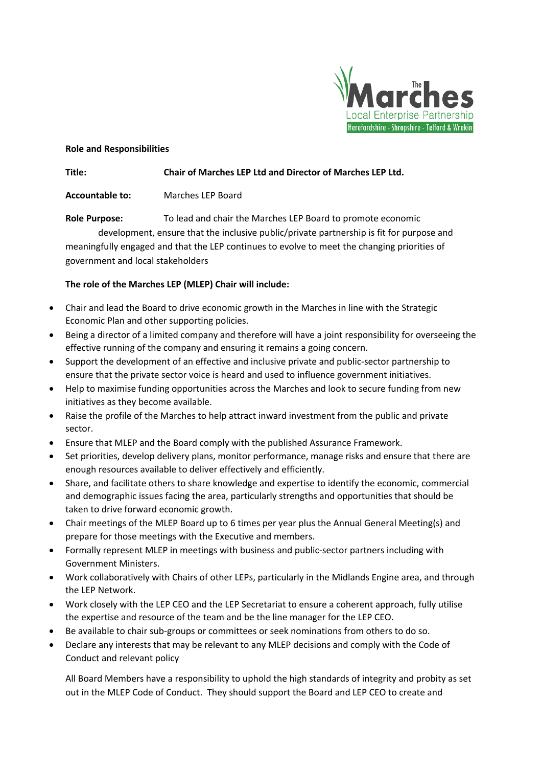

### **Role and Responsibilities**

# **Title: Chair of Marches LEP Ltd and Director of Marches LEP Ltd.**

# **Accountable to:** Marches LEP Board

**Role Purpose:** To lead and chair the Marches LEP Board to promote economic

development, ensure that the inclusive public/private partnership is fit for purpose and meaningfully engaged and that the LEP continues to evolve to meet the changing priorities of government and local stakeholders

# **The role of the Marches LEP (MLEP) Chair will include:**

- Chair and lead the Board to drive economic growth in the Marches in line with the Strategic Economic Plan and other supporting policies.
- Being a director of a limited company and therefore will have a joint responsibility for overseeing the effective running of the company and ensuring it remains a going concern.
- Support the development of an effective and inclusive private and public-sector partnership to ensure that the private sector voice is heard and used to influence government initiatives.
- Help to maximise funding opportunities across the Marches and look to secure funding from new initiatives as they become available.
- Raise the profile of the Marches to help attract inward investment from the public and private sector.
- Ensure that MLEP and the Board comply with the published Assurance Framework.
- Set priorities, develop delivery plans, monitor performance, manage risks and ensure that there are enough resources available to deliver effectively and efficiently.
- Share, and facilitate others to share knowledge and expertise to identify the economic, commercial and demographic issues facing the area, particularly strengths and opportunities that should be taken to drive forward economic growth.
- Chair meetings of the MLEP Board up to 6 times per year plus the Annual General Meeting(s) and prepare for those meetings with the Executive and members.
- Formally represent MLEP in meetings with business and public-sector partners including with Government Ministers.
- Work collaboratively with Chairs of other LEPs, particularly in the Midlands Engine area, and through the LEP Network.
- Work closely with the LEP CEO and the LEP Secretariat to ensure a coherent approach, fully utilise the expertise and resource of the team and be the line manager for the LEP CEO.
- Be available to chair sub-groups or committees or seek nominations from others to do so.
- Declare any interests that may be relevant to any MLEP decisions and comply with the Code of Conduct and relevant policy

All Board Members have a responsibility to uphold the high standards of integrity and probity as set out in the MLEP Code of Conduct. They should support the Board and LEP CEO to create and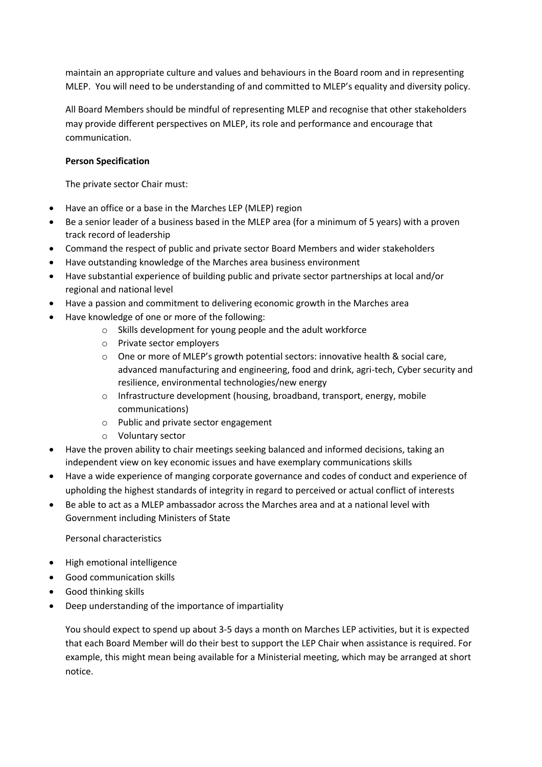maintain an appropriate culture and values and behaviours in the Board room and in representing MLEP. You will need to be understanding of and committed to MLEP's equality and diversity policy.

All Board Members should be mindful of representing MLEP and recognise that other stakeholders may provide different perspectives on MLEP, its role and performance and encourage that communication.

## **Person Specification**

The private sector Chair must:

- Have an office or a base in the Marches LEP (MLEP) region
- Be a senior leader of a business based in the MLEP area (for a minimum of 5 years) with a proven track record of leadership
- Command the respect of public and private sector Board Members and wider stakeholders
- Have outstanding knowledge of the Marches area business environment
- Have substantial experience of building public and private sector partnerships at local and/or regional and national level
- Have a passion and commitment to delivering economic growth in the Marches area
- Have knowledge of one or more of the following:
	- o Skills development for young people and the adult workforce
	- o Private sector employers
	- o One or more of MLEP's growth potential sectors: innovative health & social care, advanced manufacturing and engineering, food and drink, agri-tech, Cyber security and resilience, environmental technologies/new energy
	- o Infrastructure development (housing, broadband, transport, energy, mobile communications)
	- o Public and private sector engagement
	- o Voluntary sector
- Have the proven ability to chair meetings seeking balanced and informed decisions, taking an independent view on key economic issues and have exemplary communications skills
- Have a wide experience of manging corporate governance and codes of conduct and experience of upholding the highest standards of integrity in regard to perceived or actual conflict of interests
- Be able to act as a MLEP ambassador across the Marches area and at a national level with Government including Ministers of State

#### Personal characteristics

- High emotional intelligence
- Good communication skills
- Good thinking skills
- Deep understanding of the importance of impartiality

You should expect to spend up about 3-5 days a month on Marches LEP activities, but it is expected that each Board Member will do their best to support the LEP Chair when assistance is required. For example, this might mean being available for a Ministerial meeting, which may be arranged at short notice.